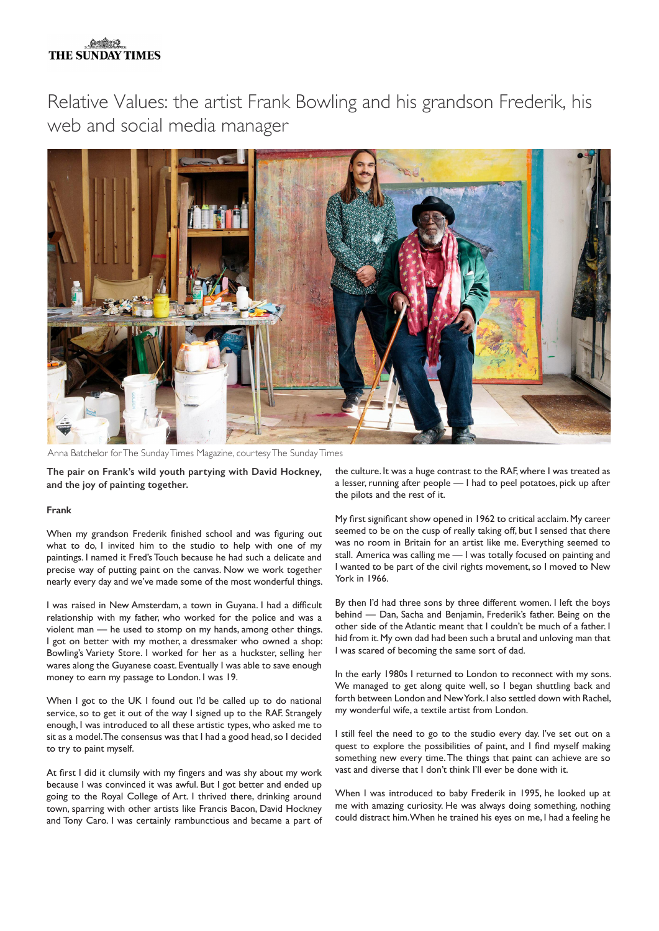## **OSMAR THE SUNDAY TIMES**

Relative Values: the artist Frank Bowling and his grandson Frederik, his web and social media manager



Anna Batchelor for The Sunday Times Magazine, courtesy The Sunday Times

**The pair on Frank's wild youth partying with David Hockney, and the joy of painting together.**

## **Frank**

When my grandson Frederik finished school and was figuring out what to do, I invited him to the studio to help with one of my paintings. I named it Fred's Touch because he had such a delicate and precise way of putting paint on the canvas. Now we work together nearly every day and we've made some of the most wonderful things.

I was raised in New Amsterdam, a town in Guyana. I had a difficult relationship with my father, who worked for the police and was a violent man — he used to stomp on my hands, among other things. I got on better with my mother, a dressmaker who owned a shop: Bowling's Variety Store. I worked for her as a huckster, selling her wares along the Guyanese coast. Eventually I was able to save enough money to earn my passage to London. I was 19.

When I got to the UK I found out I'd be called up to do national service, so to get it out of the way I signed up to the RAF. Strangely enough, I was introduced to all these artistic types, who asked me to sit as a model. The consensus was that I had a good head, so I decided to try to paint myself.

At first I did it clumsily with my fingers and was shy about my work because I was convinced it was awful. But I got better and ended up going to the Royal College of Art. I thrived there, drinking around town, sparring with other artists like Francis Bacon, David Hockney and Tony Caro. I was certainly rambunctious and became a part of the culture. It was a huge contrast to the RAF, where I was treated as a lesser, running after people — I had to peel potatoes, pick up after the pilots and the rest of it.

My first significant show opened in 1962 to critical acclaim. My career seemed to be on the cusp of really taking off, but I sensed that there was no room in Britain for an artist like me. Everything seemed to stall. America was calling me — I was totally focused on painting and I wanted to be part of the civil rights movement, so I moved to New York in 1966.

By then I'd had three sons by three different women. I left the boys behind — Dan, Sacha and Benjamin, Frederik's father. Being on the other side of the Atlantic meant that I couldn't be much of a father. I hid from it. My own dad had been such a brutal and unloving man that I was scared of becoming the same sort of dad.

In the early 1980s I returned to London to reconnect with my sons. We managed to get along quite well, so I began shuttling back and forth between London and New York. I also settled down with Rachel, my wonderful wife, a textile artist from London.

I still feel the need to go to the studio every day. I've set out on a quest to explore the possibilities of paint, and I find myself making something new every time. The things that paint can achieve are so vast and diverse that I don't think I'll ever be done with it.

When I was introduced to baby Frederik in 1995, he looked up at me with amazing curiosity. He was always doing something, nothing could distract him. When he trained his eyes on me, I had a feeling he